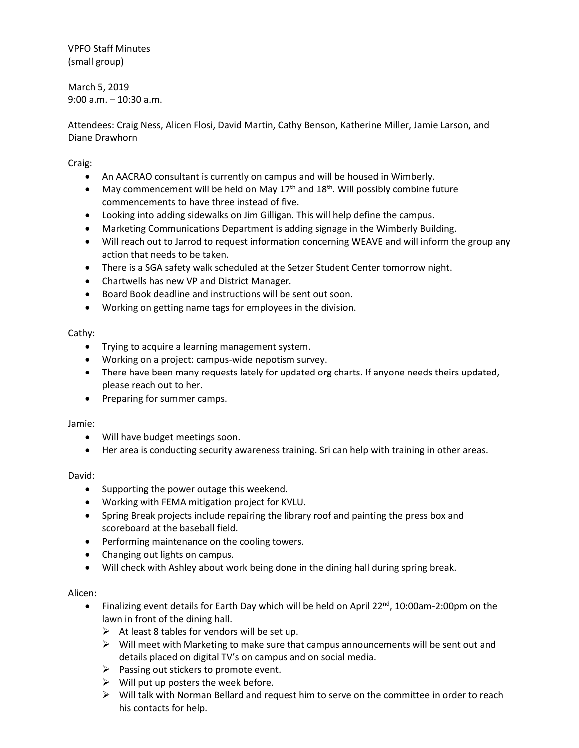VPFO Staff Minutes (small group)

March 5, 2019 9:00 a.m. – 10:30 a.m.

Attendees: Craig Ness, Alicen Flosi, David Martin, Cathy Benson, Katherine Miller, Jamie Larson, and Diane Drawhorn

Craig:

- An AACRAO consultant is currently on campus and will be housed in Wimberly.
- May commencement will be held on May  $17<sup>th</sup>$  and  $18<sup>th</sup>$ . Will possibly combine future commencements to have three instead of five.
- Looking into adding sidewalks on Jim Gilligan. This will help define the campus.
- Marketing Communications Department is adding signage in the Wimberly Building.
- Will reach out to Jarrod to request information concerning WEAVE and will inform the group any action that needs to be taken.
- There is a SGA safety walk scheduled at the Setzer Student Center tomorrow night.
- Chartwells has new VP and District Manager.
- Board Book deadline and instructions will be sent out soon.
- Working on getting name tags for employees in the division.

## Cathy:

- Trying to acquire a learning management system.
- Working on a project: campus-wide nepotism survey.
- There have been many requests lately for updated org charts. If anyone needs theirs updated, please reach out to her.
- Preparing for summer camps.

### Jamie:

- Will have budget meetings soon.
- Her area is conducting security awareness training. Sri can help with training in other areas.

### David:

- Supporting the power outage this weekend.
- Working with FEMA mitigation project for KVLU.
- Spring Break projects include repairing the library roof and painting the press box and scoreboard at the baseball field.
- Performing maintenance on the cooling towers.
- Changing out lights on campus.
- Will check with Ashley about work being done in the dining hall during spring break.

### Alicen:

- Finalizing event details for Earth Day which will be held on April 22<sup>nd</sup>, 10:00am-2:00pm on the lawn in front of the dining hall.
	- $\triangleright$  At least 8 tables for vendors will be set up.
	- $\triangleright$  Will meet with Marketing to make sure that campus announcements will be sent out and details placed on digital TV's on campus and on social media.
	- $\triangleright$  Passing out stickers to promote event.
	- $\triangleright$  Will put up posters the week before.
	- $\triangleright$  Will talk with Norman Bellard and request him to serve on the committee in order to reach his contacts for help.